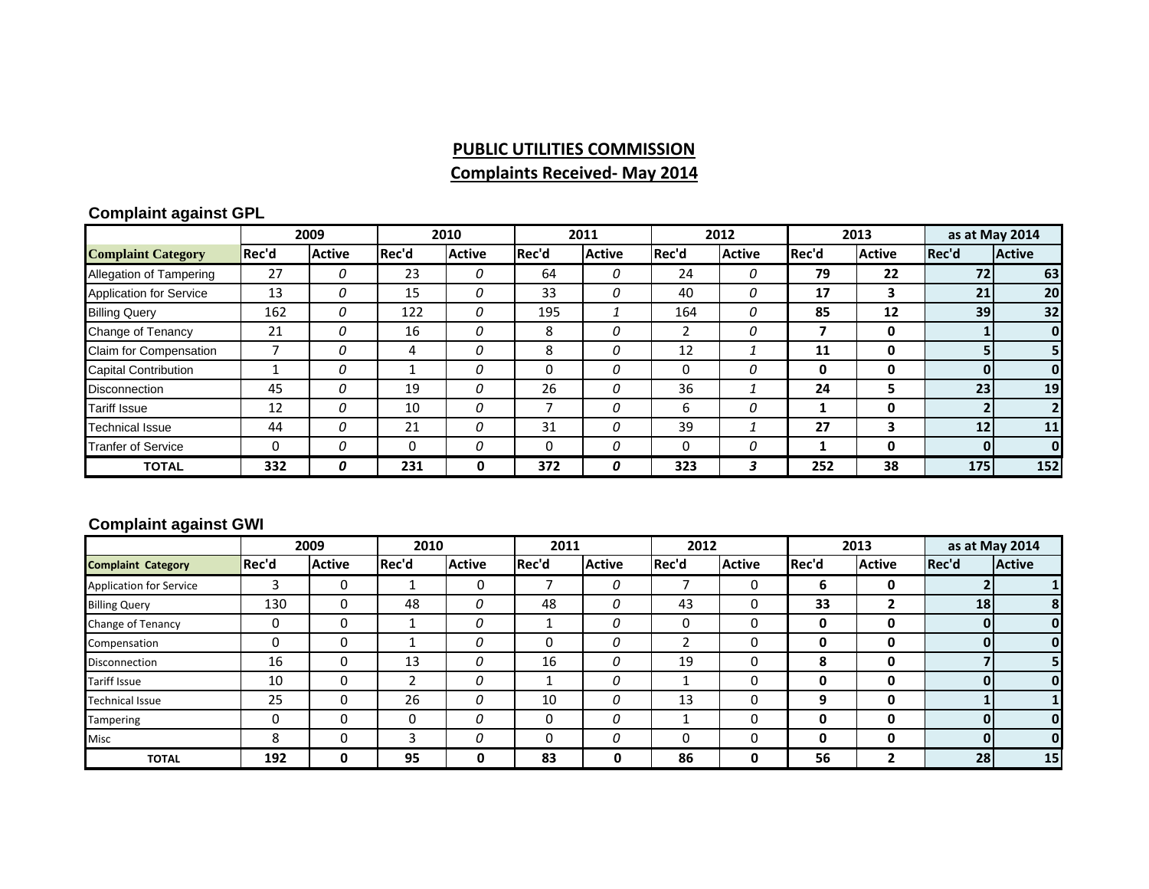# **PUBLIC UTILITIES COMMISSION Complaints Received‐ May 2014**

#### **Complaint against GPL**

|                           | 2009  |               | 2010  |               | 2011  |               | 2012        |               | 2013  |               | as at May 2014  |               |
|---------------------------|-------|---------------|-------|---------------|-------|---------------|-------------|---------------|-------|---------------|-----------------|---------------|
| <b>Complaint Category</b> | Rec'd | <b>Active</b> | Rec'd | <b>Active</b> | Rec'd | <b>Active</b> | Rec'd       | <b>Active</b> | Rec'd | <b>Active</b> | Rec'd           | <b>Active</b> |
| Allegation of Tampering   | 27    | 0             | 23    | 0             | 64    | 0             | 24          |               | 79    | 22            | 72              | 63            |
| Application for Service   | 13    | 0             | 15    | 0             | 33    | 0             | 40          | 0             | 17    | 3             | 21              | 20            |
| <b>Billing Query</b>      | 162   | 0             | 122   | 0             | 195   |               | 164         | 0             | 85    | 12            | 39 <sup>1</sup> | 32            |
| Change of Tenancy         | 21    | 0             | 16    | 0             | 8     | 0             |             | O             |       | 0             |                 | $\mathbf{0}$  |
| Claim for Compensation    |       | 0             | 4     | 0             | 8     | 0             | 12          |               | 11    | 0             |                 | 51            |
| Capital Contribution      |       | 0             |       | 0             | 0     | 0             | $\mathbf 0$ |               | 0     | 0             |                 | $\mathbf{0}$  |
| Disconnection             | 45    | $\Omega$      | 19    | 0             | 26    | 0             | 36          |               | 24    | 5             | 23              | 19            |
| Tariff Issue              | 12    | 0             | 10    | 0             | ⇁     | 0             | 6           | 0             |       | 0             |                 |               |
| Technical Issue           | 44    | 0             | 21    | 0             | 31    | $\Omega$      | 39          |               | 27    | 3             | 12              | 11            |
| <b>Tranfer of Service</b> | 0     | 0             | 0     | 0             | 0     | 0             | 0           | 0             |       | 0             |                 | $\mathbf{0}$  |
| <b>TOTAL</b>              | 332   | 0             | 231   | 0             | 372   | 0             | 323         | 3             | 252   | 38            | 175             | 152           |

#### **Complaint against GWI**

|                                | 2009  |               | 2010  |               | 2011  |               | 2012  |               | 2013  |                | as at May 2014 |               |
|--------------------------------|-------|---------------|-------|---------------|-------|---------------|-------|---------------|-------|----------------|----------------|---------------|
| <b>Complaint Category</b>      | Rec'd | <b>Active</b> | Rec'd | <b>Active</b> | Rec'd | <b>Active</b> | Rec'd | <b>Active</b> | Rec'd | <b>Active</b>  | Rec'd          | <b>Active</b> |
| <b>Application for Service</b> |       |               |       | 0             |       | 0             |       | 0             | 6     | 0              |                |               |
| <b>Billing Query</b>           | 130   |               | 48    | 0             | 48    | 0             | 43    | 0             | 33    | $\overline{2}$ | 18             | 8             |
| Change of Tenancy              | 0     |               |       | 0             |       | 0             | 0     | 0             | 0     | 0              |                | 0             |
| Compensation                   | 0     |               |       | 0             | 0     | 0             |       | 0             | 0     | 0              |                | 0             |
| Disconnection                  | 16    |               | 13    | 0             | 16    | 0             | 19    | 0             | 8     | 0              |                |               |
| <b>Tariff Issue</b>            | 10    |               |       | 0             |       | 0             |       | 0             | 0     | 0              | n              |               |
| <b>Technical Issue</b>         | 25    |               | 26    | 0             | 10    | 0             | 13    | 0             | 9     | 0              |                |               |
| Tampering                      | 0     |               | 0     | 0             | 0     | 0             |       | 0             | 0     | 0              |                |               |
| <b>Misc</b>                    | 8     |               |       | 0             | 0     | 0             | 0     | 0             | 0     | 0              | n              |               |
| <b>TOTAL</b>                   | 192   | 0             | 95    | 0             | 83    | 0             | 86    | 0             | 56    | $\overline{2}$ | 28             | 15            |